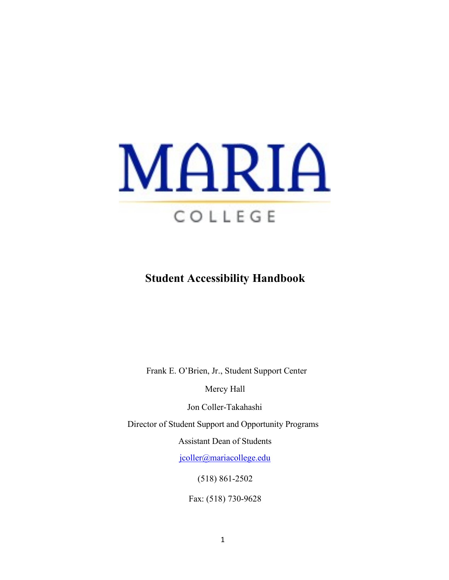

# **Student Accessibility Handbook**

Frank E. O'Brien, Jr., Student Support Center

Mercy Hall

Jon Coller-Takahashi

Director of Student Support and Opportunity Programs

Assistant Dean of Students

[jcoller@mariacollege.edu](mailto:jcoller@mariacollege.edu)

(518) 861-2502

Fax: (518) 730-9628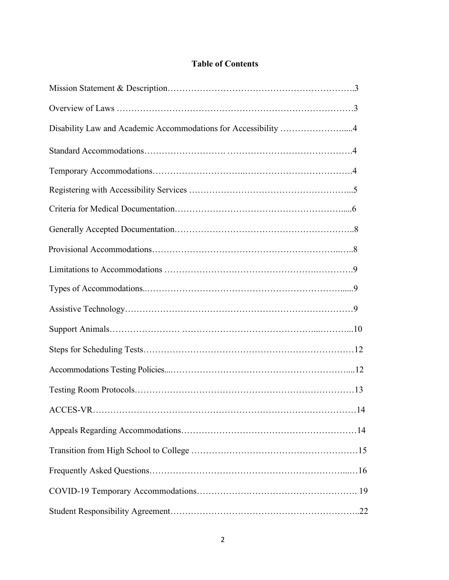## **Table of Contents**

| Disability Law and Academic Accommodations for Accessibility 4 |
|----------------------------------------------------------------|
|                                                                |
|                                                                |
|                                                                |
|                                                                |
|                                                                |
|                                                                |
|                                                                |
|                                                                |
|                                                                |
|                                                                |
|                                                                |
|                                                                |
|                                                                |
| . 14                                                           |
|                                                                |
|                                                                |
|                                                                |
|                                                                |
|                                                                |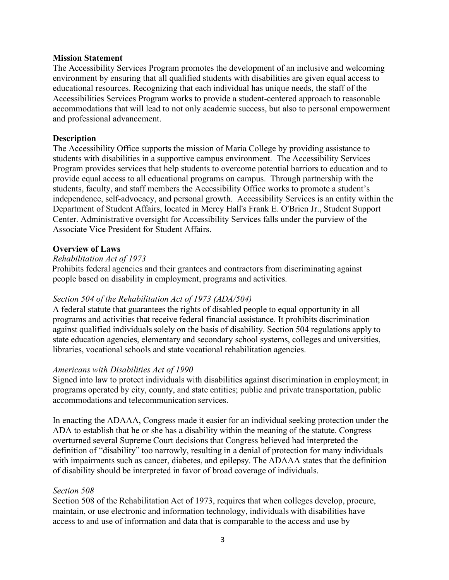#### **Mission Statement**

The Accessibility Services Program promotes the development of an inclusive and welcoming environment by ensuring that all qualified students with disabilities are given equal access to educational resources. Recognizing that each individual has unique needs, the staff of the Accessibilities Services Program works to provide a student-centered approach to reasonable accommodations that will lead to not only academic success, but also to personal empowerment and professional advancement.

#### **Description**

The Accessibility Office supports the mission of Maria College by providing assistance to students with disabilities in a supportive campus environment. The Accessibility Services Program provides services that help students to overcome potential barriors to education and to provide equal access to all educational programs on campus. Through partnership with the students, faculty, and staff members the Accessibility Office works to promote a student's independence, self-advocacy, and personal growth. Accessibility Services is an entity within the Department of Student Affairs, located in Mercy Hall's Frank E. O'Brien Jr., Student Support Center. Administrative oversight for Accessibility Services falls under the purview of the Associate Vice President for Student Affairs.

#### **Overview of Laws**

#### *Rehabilitation Act of 1973*

Prohibits federal agencies and their grantees and contractors from discriminating against people based on disability in employment, programs and activities.

#### *Section 504 of the Rehabilitation Act of 1973 (ADA/504)*

A federal statute that guarantees the rights of disabled people to equal opportunity in all programs and activities that receive federal financial assistance. It prohibits discrimination against qualified individuals solely on the basis of disability. Section 504 regulations apply to state education agencies, elementary and secondary school systems, colleges and universities, libraries, vocational schools and state vocational rehabilitation agencies.

#### *Americans with Disabilities Act of 1990*

Signed into law to protect individuals with disabilities against discrimination in employment; in programs operated by city, county, and state entities; public and private transportation, public accommodations and telecommunication services.

In enacting the ADAAA, Congress made it easier for an individual seeking protection under the ADA to establish that he or she has a disability within the meaning of the statute. Congress overturned several Supreme Court decisions that Congress believed had interpreted the definition of "disability" too narrowly, resulting in a denial of protection for many individuals with impairments such as cancer, diabetes, and epilepsy. The ADAAA states that the definition of disability should be interpreted in favor of broad coverage of individuals.

#### *Section 508*

Section 508 of the Rehabilitation Act of 1973, requires that when colleges develop, procure, maintain, or use electronic and information technology, individuals with disabilities have access to and use of information and data that is comparable to the access and use by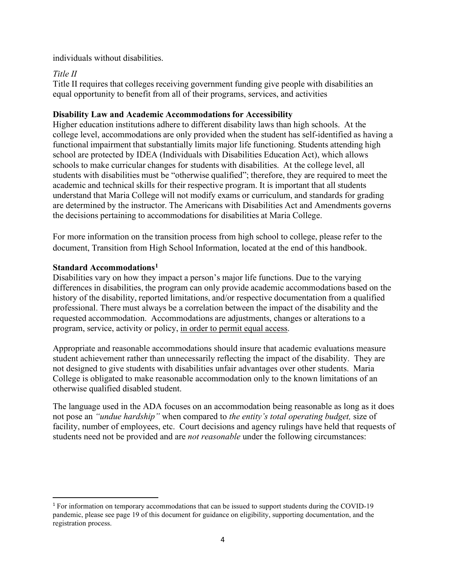individuals without disabilities.

## *Title II*

Title II requires that colleges receiving government funding give people with disabilities an equal opportunity to benefit from all of their programs, services, and activities

### **Disability Law and Academic Accommodations for Accessibility**

Higher education institutions adhere to different disability laws than high schools. At the college level, accommodations are only provided when the student has self-identified as having a functional impairment that substantially limits major life functioning. Students attending high school are protected by IDEA (Individuals with Disabilities Education Act), which allows schools to make curricular changes for students with disabilities. At the college level, all students with disabilities must be "otherwise qualified"; therefore, they are required to meet the academic and technical skills for their respective program. It is important that all students understand that Maria College will not modify exams or curriculum, and standards for grading are determined by the instructor. The Americans with Disabilities Act and Amendments governs the decisions pertaining to accommodations for disabilities at Maria College.

For more information on the transition process from high school to college, please refer to the document, Transition from High School Information, located at the end of this handbook.

### **Standard Accommodations[1](#page-3-0)**

Disabilities vary on how they impact a person's major life functions. Due to the varying differences in disabilities, the program can only provide academic accommodations based on the history of the disability, reported limitations, and/or respective documentation from a qualified professional. There must always be a correlation between the impact of the disability and the requested accommodation. Accommodations are adjustments, changes or alterations to a program, service, activity or policy, in order to permit equal access.

Appropriate and reasonable accommodations should insure that academic evaluations measure student achievement rather than unnecessarily reflecting the impact of the disability. They are not designed to give students with disabilities unfair advantages over other students. Maria College is obligated to make reasonable accommodation only to the known limitations of an otherwise qualified disabled student.

The language used in the ADA focuses on an accommodation being reasonable as long as it does not pose an *"undue hardship"* when compared to *the entity's total operating budget,* size of facility, number of employees, etc. Court decisions and agency rulings have held that requests of students need not be provided and are *not reasonable* under the following circumstances:

<span id="page-3-0"></span><sup>&</sup>lt;sup>1</sup> For information on temporary accommodations that can be issued to support students during the COVID-19 pandemic, please see page 19 of this document for guidance on eligibility, supporting documentation, and the registration process.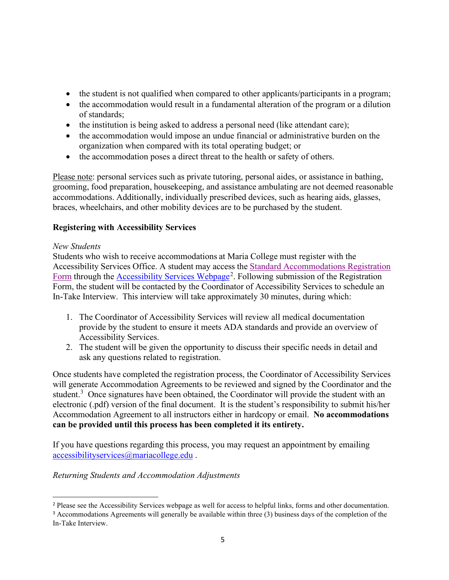- the student is not qualified when compared to other applicants/participants in a program;
- the accommodation would result in a fundamental alteration of the program or a dilution of standards;
- the institution is being asked to address a personal need (like attendant care);
- the accommodation would impose an undue financial or administrative burden on the organization when compared with its total operating budget; or
- the accommodation poses a direct threat to the health or safety of others.

Please note: personal services such as private tutoring, personal aides, or assistance in bathing, grooming, food preparation, housekeeping, and assistance ambulating are not deemed reasonable accommodations. Additionally, individually prescribed devices, such as hearing aids, glasses, braces, wheelchairs, and other mobility devices are to be purchased by the student.

## **Registering with Accessibility Services**

## *New Students*

Students who wish to receive accommodations at Maria College must register with the Accessibility Services Office. A student may access the [Standard Accommodations Registration](https://forms.office.com/Pages/ResponsePage.aspx?id=MSfbEl-hc0eDhKsJUUQF8L4RDgjOjtJMv_GGVjIMHxRUN09NMEpFWUZHSEtJWEQ3TU4yOFdMVlJISS4u)  [Form](https://forms.office.com/Pages/ResponsePage.aspx?id=MSfbEl-hc0eDhKsJUUQF8L4RDgjOjtJMv_GGVjIMHxRUN09NMEpFWUZHSEtJWEQ3TU4yOFdMVlJISS4u) through the **[Accessibility Services Webpage](https://mariacollege.edu/student-support/academic-support/accessibility-services)**<sup>[2](#page-4-0)</sup>. Following submission of the Registration Form, the student will be contacted by the Coordinator of Accessibility Services to schedule an In-Take Interview. This interview will take approximately 30 minutes, during which:

- 1. The Coordinator of Accessibility Services will review all medical documentation provide by the student to ensure it meets ADA standards and provide an overview of Accessibility Services.
- 2. The student will be given the opportunity to discuss their specific needs in detail and ask any questions related to registration.

Once students have completed the registration process, the Coordinator of Accessibility Services will generate Accommodation Agreements to be reviewed and signed by the Coordinator and the student.<sup>[3](#page-4-1)</sup> Once signatures have been obtained, the Coordinator will provide the student with an electronic (.pdf) version of the final document. It is the student's responsibility to submit his/her Accommodation Agreement to all instructors either in hardcopy or email. **No accommodations can be provided until this process has been completed it its entirety.**

If you have questions regarding this process, you may request an appointment by emailing [accessibilityservices@mariacollege.edu](mailto:accessibilityservices@mariacollege.edu) .

*Returning Students and Accommodation Adjustments*

<span id="page-4-0"></span><sup>&</sup>lt;sup>2</sup> Please see the Accessibility Services webpage as well for access to helpful links, forms and other documentation.

<span id="page-4-1"></span><sup>&</sup>lt;sup>3</sup> Accommodations Agreements will generally be available within three (3) business days of the completion of the In-Take Interview.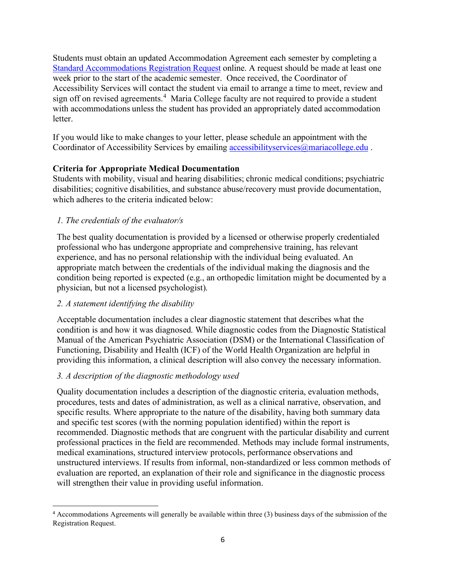Students must obtain an updated Accommodation Agreement each semester by completing a [Standard Accommodations Registration Request](https://forms.office.com/Pages/ResponsePage.aspx?id=MSfbEl-hc0eDhKsJUUQF8L4RDgjOjtJMv_GGVjIMHxRUN09NMEpFWUZHSEtJWEQ3TU4yOFdMVlJISS4u) online. A request should be made at least one week prior to the start of the academic semester. Once received, the Coordinator of Accessibility Services will contact the student via email to arrange a time to meet, review and sign off on revised agreements.<sup>[4](#page-5-0)</sup> Maria College faculty are not required to provide a student with accommodations unless the student has provided an appropriately dated accommodation letter.

If you would like to make changes to your letter, please schedule an appointment with the Coordinator of Accessibility Services by emailing [accessibilityservices@mariacollege.edu](mailto:accessibilityservices@mariacollege.edu).

## **Criteria for Appropriate Medical Documentation**

Students with mobility, visual and hearing disabilities; chronic medical conditions; psychiatric disabilities; cognitive disabilities, and substance abuse/recovery must provide documentation, which adheres to the criteria indicated below:

## *1. The credentials of the evaluator/s*

The best quality documentation is provided by a licensed or otherwise properly credentialed professional who has undergone appropriate and comprehensive training, has relevant experience, and has no personal relationship with the individual being evaluated. An appropriate match between the credentials of the individual making the diagnosis and the condition being reported is expected (e.g., an orthopedic limitation might be documented by a physician, but not a licensed psychologist).

## *2. A statement identifying the disability*

Acceptable documentation includes a clear diagnostic statement that describes what the condition is and how it was diagnosed. While diagnostic codes from the Diagnostic Statistical Manual of the American Psychiatric Association (DSM) or the International Classification of Functioning, Disability and Health (ICF) of the World Health Organization are helpful in providing this information, a clinical description will also convey the necessary information.

## *3. A description of the diagnostic methodology used*

Quality documentation includes a description of the diagnostic criteria, evaluation methods, procedures, tests and dates of administration, as well as a clinical narrative, observation, and specific results. Where appropriate to the nature of the disability, having both summary data and specific test scores (with the norming population identified) within the report is recommended. Diagnostic methods that are congruent with the particular disability and current professional practices in the field are recommended. Methods may include formal instruments, medical examinations, structured interview protocols, performance observations and unstructured interviews. If results from informal, non-standardized or less common methods of evaluation are reported, an explanation of their role and significance in the diagnostic process will strengthen their value in providing useful information.

<span id="page-5-0"></span><sup>4</sup> Accommodations Agreements will generally be available within three (3) business days of the submission of the Registration Request.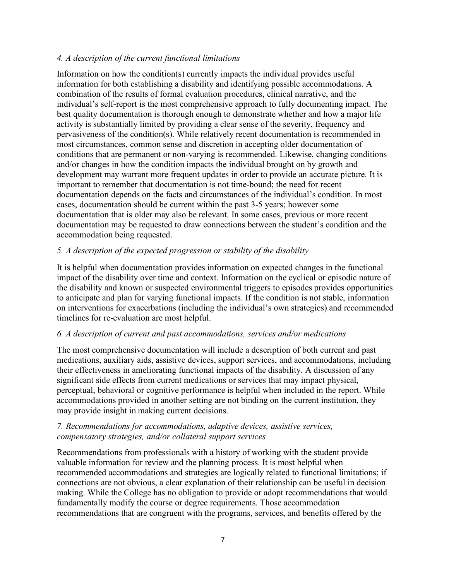## *4. A description of the current functional limitations*

Information on how the condition(s) currently impacts the individual provides useful information for both establishing a disability and identifying possible accommodations. A combination of the results of formal evaluation procedures, clinical narrative, and the individual's self-report is the most comprehensive approach to fully documenting impact. The best quality documentation is thorough enough to demonstrate whether and how a major life activity is substantially limited by providing a clear sense of the severity, frequency and pervasiveness of the condition(s). While relatively recent documentation is recommended in most circumstances, common sense and discretion in accepting older documentation of conditions that are permanent or non-varying is recommended. Likewise, changing conditions and/or changes in how the condition impacts the individual brought on by growth and development may warrant more frequent updates in order to provide an accurate picture. It is important to remember that documentation is not time-bound; the need for recent documentation depends on the facts and circumstances of the individual's condition. In most cases, documentation should be current within the past 3-5 years; however some documentation that is older may also be relevant. In some cases, previous or more recent documentation may be requested to draw connections between the student's condition and the accommodation being requested.

## *5. A description of the expected progression or stability of the disability*

It is helpful when documentation provides information on expected changes in the functional impact of the disability over time and context. Information on the cyclical or episodic nature of the disability and known or suspected environmental triggers to episodes provides opportunities to anticipate and plan for varying functional impacts. If the condition is not stable, information on interventions for exacerbations (including the individual's own strategies) and recommended timelines for re-evaluation are most helpful.

## *6. A description of current and past accommodations, services and/or medications*

The most comprehensive documentation will include a description of both current and past medications, auxiliary aids, assistive devices, support services, and accommodations, including their effectiveness in ameliorating functional impacts of the disability. A discussion of any significant side effects from current medications or services that may impact physical, perceptual, behavioral or cognitive performance is helpful when included in the report. While accommodations provided in another setting are not binding on the current institution, they may provide insight in making current decisions.

## *7. Recommendations for accommodations, adaptive devices, assistive services, compensatory strategies, and/or collateral support services*

Recommendations from professionals with a history of working with the student provide valuable information for review and the planning process. It is most helpful when recommended accommodations and strategies are logically related to functional limitations; if connections are not obvious, a clear explanation of their relationship can be useful in decision making. While the College has no obligation to provide or adopt recommendations that would fundamentally modify the course or degree requirements. Those accommodation recommendations that are congruent with the programs, services, and benefits offered by the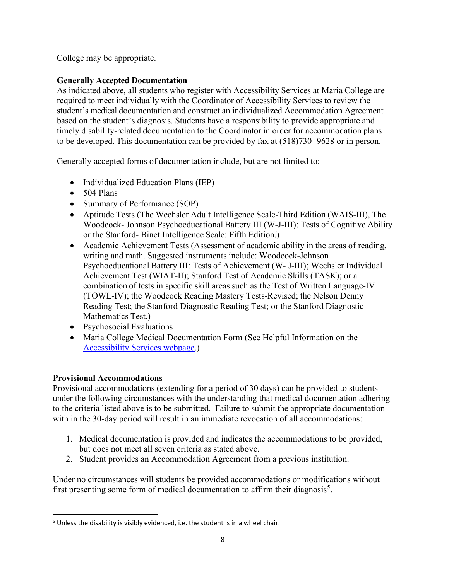College may be appropriate.

## **Generally Accepted Documentation**

As indicated above, all students who register with Accessibility Services at Maria College are required to meet individually with the Coordinator of Accessibility Services to review the student's medical documentation and construct an individualized Accommodation Agreement based on the student's diagnosis. Students have a responsibility to provide appropriate and timely disability-related documentation to the Coordinator in order for accommodation plans to be developed. This documentation can be provided by fax at (518)730- 9628 or in person.

Generally accepted forms of documentation include, but are not limited to:

- Individualized Education Plans (IEP)
- $\bullet$  504 Plans
- Summary of Performance (SOP)
- Aptitude Tests (The Wechsler Adult Intelligence Scale-Third Edition (WAIS-III), The Woodcock- Johnson Psychoeducational Battery III (W-J-III): Tests of Cognitive Ability or the Stanford- Binet Intelligence Scale: Fifth Edition.)
- Academic Achievement Tests (Assessment of academic ability in the areas of reading, writing and math. Suggested instruments include: Woodcock-Johnson Psychoeducational Battery III: Tests of Achievement (W- J-III); Wechsler Individual Achievement Test (WIAT-II); Stanford Test of Academic Skills (TASK); or a combination of tests in specific skill areas such as the Test of Written Language-IV (TOWL-IV); the Woodcock Reading Mastery Tests-Revised; the Nelson Denny Reading Test; the Stanford Diagnostic Reading Test; or the Stanford Diagnostic Mathematics Test.)
- Psychosocial Evaluations
- Maria College Medical Documentation Form (See Helpful Information on the [Accessibility Services webpage.](https://mariacollege.edu/student-support/academic-support/accessibility-services))

## **Provisional Accommodations**

Provisional accommodations (extending for a period of 30 days) can be provided to students under the following circumstances with the understanding that medical documentation adhering to the criteria listed above is to be submitted. Failure to submit the appropriate documentation with in the 30-day period will result in an immediate revocation of all accommodations:

- 1. Medical documentation is provided and indicates the accommodations to be provided, but does not meet all seven criteria as stated above.
- 2. Student provides an Accommodation Agreement from a previous institution.

Under no circumstances will students be provided accommodations or modifications without first presenting some form of medical documentation to affirm their diagnosis<sup>[5](#page-7-0)</sup>.

<span id="page-7-0"></span><sup>&</sup>lt;sup>5</sup> Unless the disability is visibly evidenced, i.e. the student is in a wheel chair.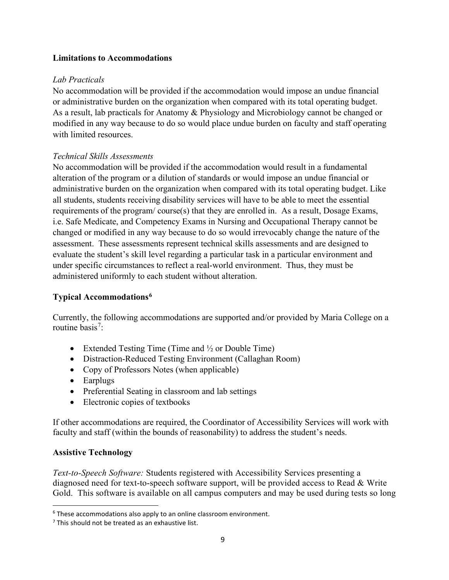### **Limitations to Accommodations**

## *Lab Practicals*

No accommodation will be provided if the accommodation would impose an undue financial or administrative burden on the organization when compared with its total operating budget. As a result, lab practicals for Anatomy & Physiology and Microbiology cannot be changed or modified in any way because to do so would place undue burden on faculty and staff operating with limited resources.

## *Technical Skills Assessments*

No accommodation will be provided if the accommodation would result in a fundamental alteration of the program or a dilution of standards or would impose an undue financial or administrative burden on the organization when compared with its total operating budget. Like all students, students receiving disability services will have to be able to meet the essential requirements of the program/ course(s) that they are enrolled in. As a result, Dosage Exams, i.e. Safe Medicate, and Competency Exams in Nursing and Occupational Therapy cannot be changed or modified in any way because to do so would irrevocably change the nature of the assessment. These assessments represent technical skills assessments and are designed to evaluate the student's skill level regarding a particular task in a particular environment and under specific circumstances to reflect a real-world environment. Thus, they must be administered uniformly to each student without alteration.

## **Typical Accommodations[6](#page-8-0)**

Currently, the following accommodations are supported and/or provided by Maria College on a routine basis<sup>[7](#page-8-1)</sup>:

- Extended Testing Time (Time and  $\frac{1}{2}$  or Double Time)
- Distraction-Reduced Testing Environment (Callaghan Room)
- Copy of Professors Notes (when applicable)
- Earplugs
- Preferential Seating in classroom and lab settings
- Electronic copies of textbooks

If other accommodations are required, the Coordinator of Accessibility Services will work with faculty and staff (within the bounds of reasonability) to address the student's needs.

## **Assistive Technology**

*Text-to-Speech Software:* Students registered with Accessibility Services presenting a diagnosed need for text-to-speech software support, will be provided access to Read & Write Gold. This software is available on all campus computers and may be used during tests so long

<span id="page-8-0"></span><sup>&</sup>lt;sup>6</sup> These accommodations also apply to an online classroom environment.

<span id="page-8-1"></span> $<sup>7</sup>$  This should not be treated as an exhaustive list.</sup>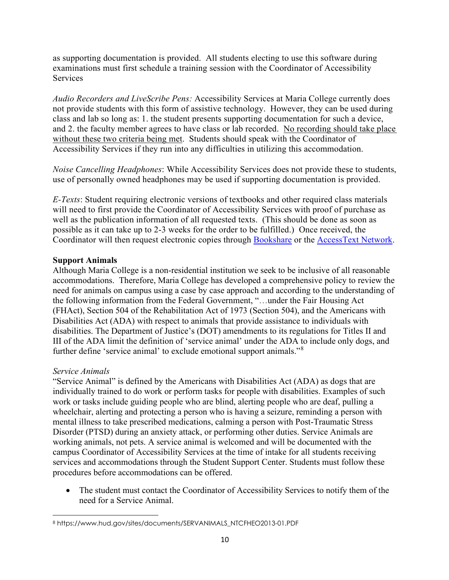as supporting documentation is provided. All students electing to use this software during examinations must first schedule a training session with the Coordinator of Accessibility **Services** 

*Audio Recorders and LiveScribe Pens:* Accessibility Services at Maria College currently does not provide students with this form of assistive technology. However, they can be used during class and lab so long as: 1. the student presents supporting documentation for such a device, and 2. the faculty member agrees to have class or lab recorded. No recording should take place without these two criteria being met. Students should speak with the Coordinator of Accessibility Services if they run into any difficulties in utilizing this accommodation.

*Noise Cancelling Headphones*: While Accessibility Services does not provide these to students, use of personally owned headphones may be used if supporting documentation is provided.

*E-Texts*: Student requiring electronic versions of textbooks and other required class materials will need to first provide the Coordinator of Accessibility Services with proof of purchase as well as the publication information of all requested texts. (This should be done as soon as possible as it can take up to 2-3 weeks for the order to be fulfilled.) Once received, the Coordinator will then request electronic copies through [Bookshare](https://www.bookshare.org/cms/) or the [AccessText Network.](http://www.accesstext.org/)

## **Support Animals**

Although Maria College is a non-residential institution we seek to be inclusive of all reasonable accommodations. Therefore, Maria College has developed a comprehensive policy to review the need for animals on campus using a case by case approach and according to the understanding of the following information from the Federal Government, "…under the Fair Housing Act (FHAct), Section 504 of the Rehabilitation Act of 1973 (Section 504), and the Americans with Disabilities Act (ADA) with respect to animals that provide assistance to individuals with disabilities. The Department of Justice's (DOT) amendments to its regulations for Titles II and III of the ADA limit the definition of 'service animal' under the ADA to include only dogs, and further define 'service animal' to exclude emotional support animals."[8](#page-9-0)

## *Service Animals*

"Service Animal" is defined by the Americans with Disabilities Act (ADA) as dogs that are individually trained to do work or perform tasks for people with disabilities. Examples of such work or tasks include guiding people who are blind, alerting people who are deaf, pulling a wheelchair, alerting and protecting a person who is having a seizure, reminding a person with mental illness to take prescribed medications, calming a person with Post-Traumatic Stress Disorder (PTSD) during an anxiety attack, or performing other duties. Service Animals are working animals, not pets. A service animal is welcomed and will be documented with the campus Coordinator of Accessibility Services at the time of intake for all students receiving services and accommodations through the Student Support Center. Students must follow these procedures before accommodations can be offered.

• The student must contact the Coordinator of Accessibility Services to notify them of the need for a Service Animal.

<span id="page-9-0"></span><sup>8</sup> https://www.hud.gov/sites/documents/SERVANIMALS\_NTCFHEO2013-01.PDF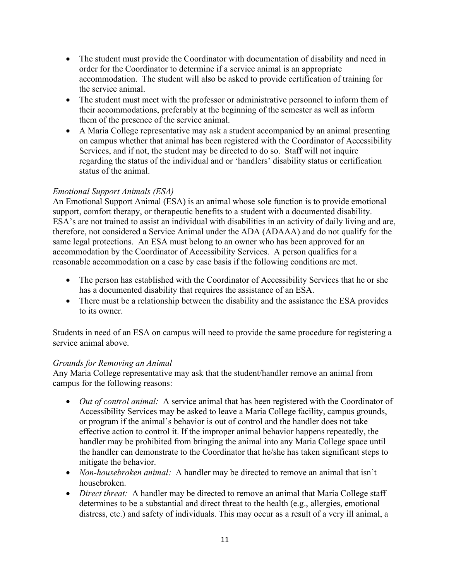- The student must provide the Coordinator with documentation of disability and need in order for the Coordinator to determine if a service animal is an appropriate accommodation. The student will also be asked to provide certification of training for the service animal.
- The student must meet with the professor or administrative personnel to inform them of their accommodations, preferably at the beginning of the semester as well as inform them of the presence of the service animal.
- A Maria College representative may ask a student accompanied by an animal presenting on campus whether that animal has been registered with the Coordinator of Accessibility Services, and if not, the student may be directed to do so. Staff will not inquire regarding the status of the individual and or 'handlers' disability status or certification status of the animal.

## *Emotional Support Animals (ESA)*

An Emotional Support Animal (ESA) is an animal whose sole function is to provide emotional support, comfort therapy, or therapeutic benefits to a student with a documented disability. ESA's are not trained to assist an individual with disabilities in an activity of daily living and are, therefore, not considered a Service Animal under the ADA (ADAAA) and do not qualify for the same legal protections. An ESA must belong to an owner who has been approved for an accommodation by the Coordinator of Accessibility Services. A person qualifies for a reasonable accommodation on a case by case basis if the following conditions are met.

- The person has established with the Coordinator of Accessibility Services that he or she has a documented disability that requires the assistance of an ESA.
- There must be a relationship between the disability and the assistance the ESA provides to its owner.

Students in need of an ESA on campus will need to provide the same procedure for registering a service animal above.

## *Grounds for Removing an Animal*

Any Maria College representative may ask that the student/handler remove an animal from campus for the following reasons:

- *Out of control animal:* A service animal that has been registered with the Coordinator of Accessibility Services may be asked to leave a Maria College facility, campus grounds, or program if the animal's behavior is out of control and the handler does not take effective action to control it. If the improper animal behavior happens repeatedly, the handler may be prohibited from bringing the animal into any Maria College space until the handler can demonstrate to the Coordinator that he/she has taken significant steps to mitigate the behavior.
- *Non-housebroken animal:* A handler may be directed to remove an animal that isn't housebroken.
- *Direct threat:* A handler may be directed to remove an animal that Maria College staff determines to be a substantial and direct threat to the health (e.g., allergies, emotional distress, etc.) and safety of individuals. This may occur as a result of a very ill animal, a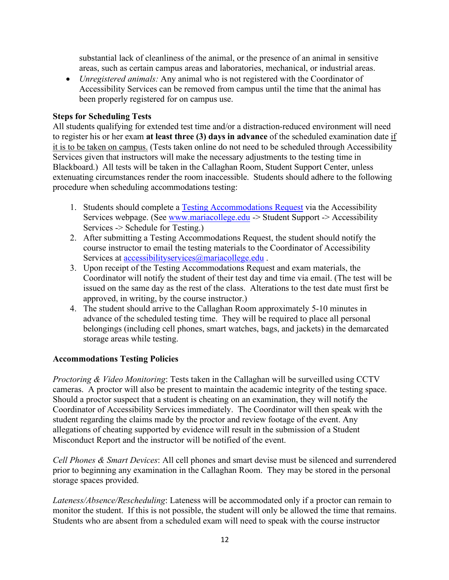substantial lack of cleanliness of the animal, or the presence of an animal in sensitive areas, such as certain campus areas and laboratories, mechanical, or industrial areas.

• *Unregistered animals:* Any animal who is not registered with the Coordinator of Accessibility Services can be removed from campus until the time that the animal has been properly registered for on campus use.

## **Steps for Scheduling Tests**

All students qualifying for extended test time and/or a distraction-reduced environment will need to register his or her exam **at least three (3) days in advance** of the scheduled examination date if it is to be taken on campus. (Tests taken online do not need to be scheduled through Accessibility Services given that instructors will make the necessary adjustments to the testing time in Blackboard.) All tests will be taken in the Callaghan Room, Student Support Center, unless extenuating circumstances render the room inaccessible. Students should adhere to the following procedure when scheduling accommodations testing:

- 1. Students should complete a **Testing Accommodations Request** via the Accessibility Services webpage. (See [www.mariacollege.edu](http://www.mariacollege.edu/) -> Student Support -> Accessibility Services -> Schedule for Testing.)
- 2. After submitting a Testing Accommodations Request, the student should notify the course instructor to email the testing materials to the Coordinator of Accessibility Services at [accessibilityservices@mariacollege.edu](mailto:accessibilityservices@mariacollege.edu).
- 3. Upon receipt of the Testing Accommodations Request and exam materials, the Coordinator will notify the student of their test day and time via email. (The test will be issued on the same day as the rest of the class. Alterations to the test date must first be approved, in writing, by the course instructor.)
- 4. The student should arrive to the Callaghan Room approximately 5-10 minutes in advance of the scheduled testing time. They will be required to place all personal belongings (including cell phones, smart watches, bags, and jackets) in the demarcated storage areas while testing.

## **Accommodations Testing Policies**

*Proctoring & Video Monitoring*: Tests taken in the Callaghan will be surveilled using CCTV cameras. A proctor will also be present to maintain the academic integrity of the testing space. Should a proctor suspect that a student is cheating on an examination, they will notify the Coordinator of Accessibility Services immediately. The Coordinator will then speak with the student regarding the claims made by the proctor and review footage of the event. Any allegations of cheating supported by evidence will result in the submission of a Student Misconduct Report and the instructor will be notified of the event.

*Cell Phones & Smart Devices*: All cell phones and smart devise must be silenced and surrendered prior to beginning any examination in the Callaghan Room. They may be stored in the personal storage spaces provided.

*Lateness/Absence/Rescheduling*: Lateness will be accommodated only if a proctor can remain to monitor the student. If this is not possible, the student will only be allowed the time that remains. Students who are absent from a scheduled exam will need to speak with the course instructor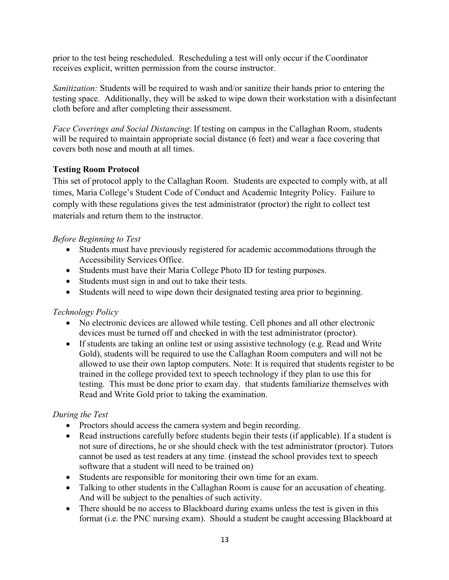prior to the test being rescheduled. Rescheduling a test will only occur if the Coordinator receives explicit, written permission from the course instructor.

*Sanitization:* Students will be required to wash and/or sanitize their hands prior to entering the testing space. Additionally, they will be asked to wipe down their workstation with a disinfectant cloth before and after completing their assessment.

*Face Coverings and Social Distancing*: If testing on campus in the Callaghan Room, students will be required to maintain appropriate social distance (6 feet) and wear a face covering that covers both nose and mouth at all times.

## **Testing Room Protocol**

This set of protocol apply to the Callaghan Room. Students are expected to comply with, at all times, Maria College's Student Code of Conduct and Academic Integrity Policy. Failure to comply with these regulations gives the test administrator (proctor) the right to collect test materials and return them to the instructor.

## *Before Beginning to Test*

- Students must have previously registered for academic accommodations through the Accessibility Services Office.
- Students must have their Maria College Photo ID for testing purposes.
- Students must sign in and out to take their tests.
- Students will need to wipe down their designated testing area prior to beginning.

## *Technology Policy*

- No electronic devices are allowed while testing. Cell phones and all other electronic devices must be turned off and checked in with the test administrator (proctor).
- If students are taking an online test or using assistive technology (e.g. Read and Write Gold), students will be required to use the Callaghan Room computers and will not be allowed to use their own laptop computers. Note: It is required that students register to be trained in the college provided text to speech technology if they plan to use this for testing. This must be done prior to exam day. that students familiarize themselves with Read and Write Gold prior to taking the examination.

## *During the Test*

- Proctors should access the camera system and begin recording.
- Read instructions carefully before students begin their tests (if applicable). If a student is not sure of directions, he or she should check with the test administrator (proctor). Tutors cannot be used as test readers at any time. (instead the school provides text to speech software that a student will need to be trained on)
- Students are responsible for monitoring their own time for an exam.
- Talking to other students in the Callaghan Room is cause for an accusation of cheating. And will be subject to the penalties of such activity.
- There should be no access to Blackboard during exams unless the test is given in this format (i.e. the PNC nursing exam). Should a student be caught accessing Blackboard at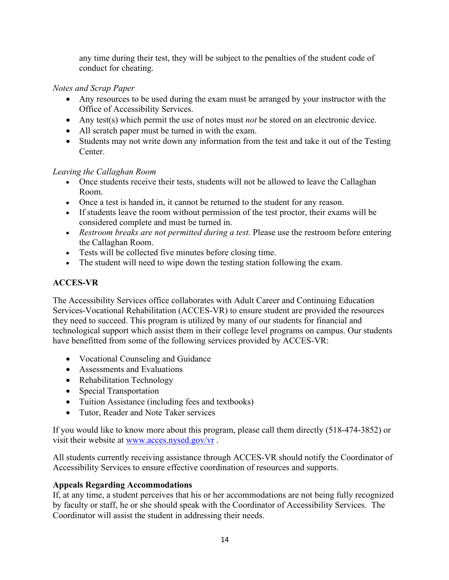any time during their test, they will be subject to the penalties of the student code of conduct for cheating.

## *Notes and Scrap Paper*

- Any resources to be used during the exam must be arranged by your instructor with the Office of Accessibility Services.
- Any test(s) which permit the use of notes must *not* be stored on an electronic device.
- All scratch paper must be turned in with the exam.
- Students may not write down any information from the test and take it out of the Testing Center.

## *Leaving the Callaghan Room*

- Once students receive their tests, students will not be allowed to leave the Callaghan Room.
- Once a test is handed in, it cannot be returned to the student for any reason.
- If students leave the room without permission of the test proctor, their exams will be considered complete and must be turned in.
- *Restroom breaks are not permitted during a test.* Please use the restroom before entering the Callaghan Room.
- Tests will be collected five minutes before closing time.
- The student will need to wipe down the testing station following the exam.

## **ACCES-VR**

The Accessibility Services office collaborates with Adult Career and Continuing Education Services-Vocational Rehabilitation (ACCES-VR) to ensure student are provided the resources they need to succeed. This program is utilized by many of our students for financial and technological support which assist them in their college level programs on campus. Our students have benefitted from some of the following services provided by ACCES-VR:

- Vocational Counseling and Guidance
- Assessments and Evaluations
- Rehabilitation Technology
- Special Transportation
- Tuition Assistance (including fees and textbooks)
- Tutor, Reader and Note Taker services

If you would like to know more about this program, please call them directly (518-474-3852) or visit their website at [www.acces.nysed.gov/vr](http://www.acces.nysed.gov/vr) .

All students currently receiving assistance through ACCES-VR should notify the Coordinator of Accessibility Services to ensure effective coordination of resources and supports.

## **Appeals Regarding Accommodations**

If, at any time, a student perceives that his or her accommodations are not being fully recognized by faculty or staff, he or she should speak with the Coordinator of Accessibility Services. The Coordinator will assist the student in addressing their needs.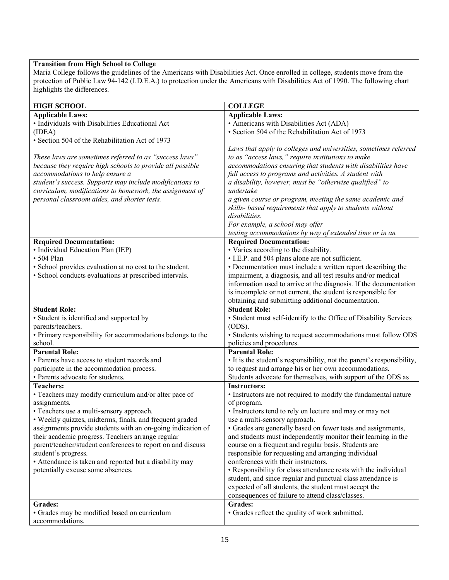#### **Transition from High School to College**

Maria College follows the guidelines of the Americans with Disabilities Act. Once enrolled in college, students move from the protection of Public Law 94-142 (I.D.E.A.) to protection under the Americans with Disabilities Act of 1990. The following chart highlights the differences.

| <b>HIGH SCHOOL</b>                                                             | <b>COLLEGE</b>                                                                             |  |  |
|--------------------------------------------------------------------------------|--------------------------------------------------------------------------------------------|--|--|
| <b>Applicable Laws:</b>                                                        | <b>Applicable Laws:</b>                                                                    |  |  |
| • Individuals with Disabilities Educational Act                                | • Americans with Disabilities Act (ADA)                                                    |  |  |
| (IDEA)                                                                         | · Section 504 of the Rehabilitation Act of 1973                                            |  |  |
| · Section 504 of the Rehabilitation Act of 1973                                |                                                                                            |  |  |
|                                                                                | Laws that apply to colleges and universities, sometimes referred                           |  |  |
| These laws are sometimes referred to as "success laws"                         | to as "access laws," require institutions to make                                          |  |  |
| because they require high schools to provide all possible                      | accommodations ensuring that students with disabilities have                               |  |  |
| accommodations to help ensure a                                                | full access to programs and activities. A student with                                     |  |  |
| student's success. Supports may include modifications to                       | a disability, however, must be "otherwise qualified" to                                    |  |  |
| curriculum, modifications to homework, the assignment of                       | undertake                                                                                  |  |  |
| personal classroom aides, and shorter tests.                                   | a given course or program, meeting the same academic and                                   |  |  |
|                                                                                | skills- based requirements that apply to students without                                  |  |  |
|                                                                                | disabilities.                                                                              |  |  |
|                                                                                | For example, a school may offer                                                            |  |  |
|                                                                                | testing accommodations by way of extended time or in an                                    |  |  |
| <b>Required Documentation:</b><br>• Individual Education Plan (IEP)            | <b>Required Documentation:</b>                                                             |  |  |
| $\cdot$ 504 Plan                                                               | • Varies according to the disability.<br>• I.E.P. and 504 plans alone are not sufficient.  |  |  |
| · School provides evaluation at no cost to the student.                        | • Documentation must include a written report describing the                               |  |  |
| · School conducts evaluations at prescribed intervals.                         | impairment, a diagnosis, and all test results and/or medical                               |  |  |
|                                                                                | information used to arrive at the diagnosis. If the documentation                          |  |  |
|                                                                                | is incomplete or not current, the student is responsible for                               |  |  |
|                                                                                | obtaining and submitting additional documentation.                                         |  |  |
| <b>Student Role:</b>                                                           | <b>Student Role:</b>                                                                       |  |  |
| • Student is identified and supported by                                       | • Student must self-identify to the Office of Disability Services                          |  |  |
| parents/teachers.                                                              | (ODS).                                                                                     |  |  |
| • Primary responsibility for accommodations belongs to the                     | • Students wishing to request accommodations must follow ODS                               |  |  |
| school.                                                                        | policies and procedures.                                                                   |  |  |
| <b>Parental Role:</b>                                                          | <b>Parental Role:</b>                                                                      |  |  |
| • Parents have access to student records and                                   | • It is the student's responsibility, not the parent's responsibility,                     |  |  |
| participate in the accommodation process.                                      | to request and arrange his or her own accommodations.                                      |  |  |
| • Parents advocate for students.                                               | Students advocate for themselves, with support of the ODS as                               |  |  |
| <b>Teachers:</b>                                                               | <b>Instructors:</b>                                                                        |  |  |
| • Teachers may modify curriculum and/or alter pace of                          | • Instructors are not required to modify the fundamental nature                            |  |  |
| assignments.                                                                   | of program.                                                                                |  |  |
| • Teachers use a multi-sensory approach.                                       | · Instructors tend to rely on lecture and may or may not                                   |  |  |
| • Weekly quizzes, midterms, finals, and frequent graded                        | use a multi-sensory approach.                                                              |  |  |
| assignments provide students with an on-going indication of                    | • Grades are generally based on fewer tests and assignments,                               |  |  |
| their academic progress. Teachers arrange regular                              | and students must independently monitor their learning in the                              |  |  |
| parent/teacher/student conferences to report on and discuss                    | course on a frequent and regular basis. Students are                                       |  |  |
| student's progress.<br>• Attendance is taken and reported but a disability may | responsible for requesting and arranging individual<br>conferences with their instructors. |  |  |
| potentially excuse some absences.                                              | • Responsibility for class attendance rests with the individual                            |  |  |
|                                                                                | student, and since regular and punctual class attendance is                                |  |  |
|                                                                                | expected of all students, the student must accept the                                      |  |  |
|                                                                                | consequences of failure to attend class/classes.                                           |  |  |
| Grades:                                                                        | <b>Grades:</b>                                                                             |  |  |
| · Grades may be modified based on curriculum                                   | • Grades reflect the quality of work submitted.                                            |  |  |
| accommodations.                                                                |                                                                                            |  |  |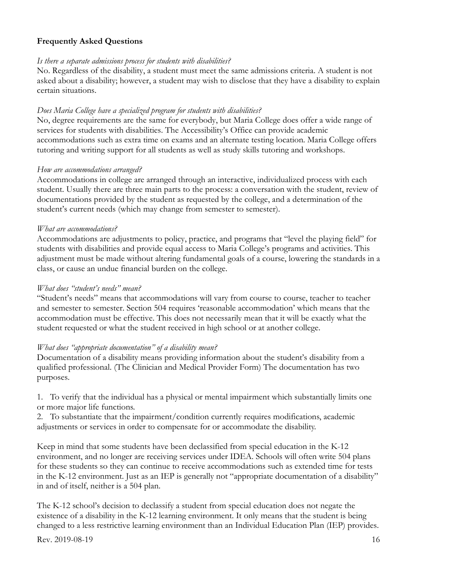#### **Frequently Asked Questions**

#### *Is there a separate admissions process for students with disabilities?*

No. Regardless of the disability, a student must meet the same admissions criteria. A student is not asked about a disability; however, a student may wish to disclose that they have a disability to explain certain situations.

#### *Does Maria College have a specialized program for students with disabilities?*

No, degree requirements are the same for everybody, but Maria College does offer a wide range of services for students with disabilities. The Accessibility's Office can provide academic accommodations such as extra time on exams and an alternate testing location. Maria College offers tutoring and writing support for all students as well as study skills tutoring and workshops.

#### *How are accommodations arranged?*

Accommodations in college are arranged through an interactive, individualized process with each student. Usually there are three main parts to the process: a conversation with the student, review of documentations provided by the student as requested by the college, and a determination of the student's current needs (which may change from semester to semester).

### *What are accommodations?*

Accommodations are adjustments to policy, practice, and programs that "level the playing field" for students with disabilities and provide equal access to Maria College's programs and activities. This adjustment must be made without altering fundamental goals of a course, lowering the standards in a class, or cause an undue financial burden on the college.

#### *What does "student's needs" mean?*

"Student's needs" means that accommodations will vary from course to course, teacher to teacher and semester to semester. Section 504 requires 'reasonable accommodation' which means that the accommodation must be effective. This does not necessarily mean that it will be exactly what the student requested or what the student received in high school or at another college.

#### *What does "appropriate documentation" of a disability mean?*

Documentation of a disability means providing information about the student's disability from a qualified professional. (The Clinician and Medical Provider Form) The documentation has two purposes.

1. To verify that the individual has a physical or mental impairment which substantially limits one or more major life functions.

2. To substantiate that the impairment/condition currently requires modifications, academic adjustments or services in order to compensate for or accommodate the disability.

Keep in mind that some students have been declassified from special education in the K-12 environment, and no longer are receiving services under IDEA. Schools will often write 504 plans for these students so they can continue to receive accommodations such as extended time for tests in the K-12 environment. Just as an IEP is generally not "appropriate documentation of a disability" in and of itself, neither is a 504 plan.

The K-12 school's decision to declassify a student from special education does not negate the existence of a disability in the K-12 learning environment. It only means that the student is being changed to a less restrictive learning environment than an Individual Education Plan (IEP) provides.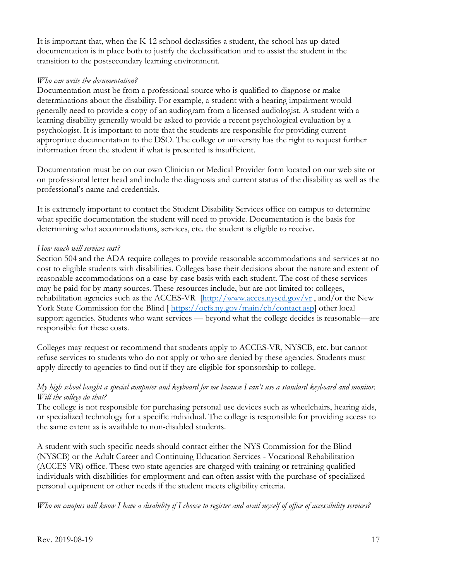It is important that, when the K-12 school declassifies a student, the school has up-dated documentation is in place both to justify the declassification and to assist the student in the transition to the postsecondary learning environment.

#### *Who can write the documentation?*

Documentation must be from a professional source who is qualified to diagnose or make determinations about the disability. For example, a student with a hearing impairment would generally need to provide a copy of an audiogram from a licensed audiologist. A student with a learning disability generally would be asked to provide a recent psychological evaluation by a psychologist. It is important to note that the students are responsible for providing current appropriate documentation to the DSO. The college or university has the right to request further information from the student if what is presented is insufficient.

Documentation must be on our own Clinician or Medical Provider form located on our web site or on professional letter head and include the diagnosis and current status of the disability as well as the professional's name and credentials.

It is extremely important to contact the Student Disability Services office on campus to determine what specific documentation the student will need to provide. Documentation is the basis for determining what accommodations, services, etc. the student is eligible to receive.

## *How much will services cost?*

Section 504 and the ADA require colleges to provide reasonable accommodations and services at no cost to eligible students with disabilities. Colleges base their decisions about the nature and extent of reasonable accommodations on a case-by-case basis with each student. The cost of these services may be paid for by many sources. These resources include, but are not limited to: colleges, rehabilitation agencies such as the ACCES-VR  $[\frac{http://www.access.nysed.gov/vr}{http://www.access.nysed.gov/vr}]$ , and/or the New York State Commission for the Blind [ [https://ocfs.ny.gov/main/cb/contact.asp\]](https://ocfs.ny.gov/main/cb/contact.asp) other local support agencies. Students who want services — beyond what the college decides is reasonable—are responsible for these costs.

Colleges may request or recommend that students apply to ACCES-VR, NYSCB, etc. but cannot refuse services to students who do not apply or who are denied by these agencies. Students must apply directly to agencies to find out if they are eligible for sponsorship to college.

### *My high school bought a special computer and keyboard for me because I can't use a standard keyboard and monitor. Will the college do that?*

The college is not responsible for purchasing personal use devices such as wheelchairs, hearing aids, or specialized technology for a specific individual. The college is responsible for providing access to the same extent as is available to non-disabled students.

A student with such specific needs should contact either the NYS Commission for the Blind (NYSCB) or the Adult Career and Continuing Education Services - Vocational Rehabilitation (ACCES-VR) office. These two state agencies are charged with training or retraining qualified individuals with disabilities for employment and can often assist with the purchase of specialized personal equipment or other needs if the student meets eligibility criteria.

*Who on campus will know I have a disability if I choose to register and avail myself of office of accessibility services?*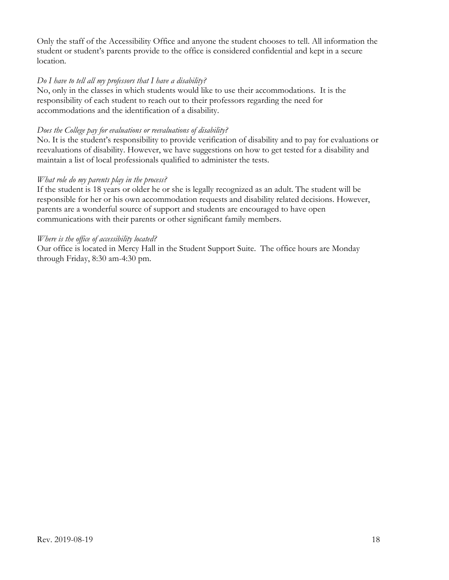Only the staff of the Accessibility Office and anyone the student chooses to tell. All information the student or student's parents provide to the office is considered confidential and kept in a secure location.

### *Do I have to tell all my professors that I have a disability?*

No, only in the classes in which students would like to use their accommodations. It is the responsibility of each student to reach out to their professors regarding the need for accommodations and the identification of a disability.

#### *Does the College pay for evaluations or reevaluations of disability?*

No. It is the student's responsibility to provide verification of disability and to pay for evaluations or reevaluations of disability. However, we have suggestions on how to get tested for a disability and maintain a list of local professionals qualified to administer the tests.

### *What role do my parents play in the process?*

If the student is 18 years or older he or she is legally recognized as an adult. The student will be responsible for her or his own accommodation requests and disability related decisions. However, parents are a wonderful source of support and students are encouraged to have open communications with their parents or other significant family members.

#### *Where is the office of accessibility located?*

Our office is located in Mercy Hall in the Student Support Suite. The office hours are Monday through Friday, 8:30 am-4:30 pm.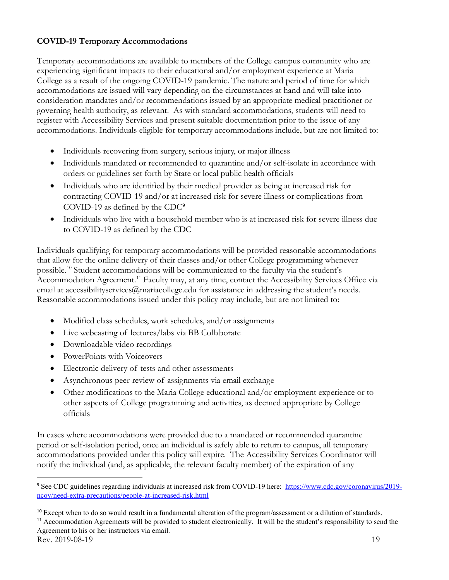### **COVID-19 Temporary Accommodations**

Temporary accommodations are available to members of the College campus community who are experiencing significant impacts to their educational and/or employment experience at Maria College as a result of the ongoing COVID-19 pandemic. The nature and period of time for which accommodations are issued will vary depending on the circumstances at hand and will take into consideration mandates and/or recommendations issued by an appropriate medical practitioner or governing health authority, as relevant. As with standard accommodations, students will need to register with Accessibility Services and present suitable documentation prior to the issue of any accommodations. Individuals eligible for temporary accommodations include, but are not limited to:

- Individuals recovering from surgery, serious injury, or major illness
- Individuals mandated or recommended to quarantine and/or self-isolate in accordance with orders or guidelines set forth by State or local public health officials
- Individuals who are identified by their medical provider as being at increased risk for contracting COVID-19 and/or at increased risk for severe illness or complications from COVID-19 as defined by the CDC[9](#page-18-0)
- Individuals who live with a household member who is at increased risk for severe illness due to COVID-19 as defined by the CDC

Individuals qualifying for temporary accommodations will be provided reasonable accommodations that allow for the online delivery of their classes and/or other College programming whenever possible.[10](#page-18-1) Student accommodations will be communicated to the faculty via the student's Accommodation Agreement.<sup>[11](#page-18-2)</sup> Faculty may, at any time, contact the Accessibility Services Office via email at accessibilityservices@mariacollege.edu for assistance in addressing the student's needs. Reasonable accommodations issued under this policy may include, but are not limited to:

- Modified class schedules, work schedules, and/or assignments
- Live webcasting of lectures/labs via BB Collaborate
- Downloadable video recordings
- PowerPoints with Voiceovers
- Electronic delivery of tests and other assessments
- Asynchronous peer-review of assignments via email exchange
- Other modifications to the Maria College educational and/or employment experience or to other aspects of College programming and activities, as deemed appropriate by College officials

In cases where accommodations were provided due to a mandated or recommended quarantine period or self-isolation period, once an individual is safely able to return to campus, all temporary accommodations provided under this policy will expire. The Accessibility Services Coordinator will notify the individual (and, as applicable, the relevant faculty member) of the expiration of any

<span id="page-18-0"></span><sup>&</sup>lt;sup>9</sup> See CDC guidelines regarding individuals at increased risk from COVID-19 here: [https://www.cdc.gov/coronavirus/2019](https://www.cdc.gov/coronavirus/2019-ncov/need-extra-precautions/people-at-increased-risk.html) [ncov/need-extra-precautions/people-at-increased-risk.html](https://www.cdc.gov/coronavirus/2019-ncov/need-extra-precautions/people-at-increased-risk.html)

<span id="page-18-2"></span><span id="page-18-1"></span><sup>&</sup>lt;sup>10</sup> Except when to do so would result in a fundamental alteration of the program/assessment or a dilution of standards. <sup>11</sup> Accommodation Agreements will be provided to student electronically. It will be the student's responsibility to send the Agreement to his or her instructors via email.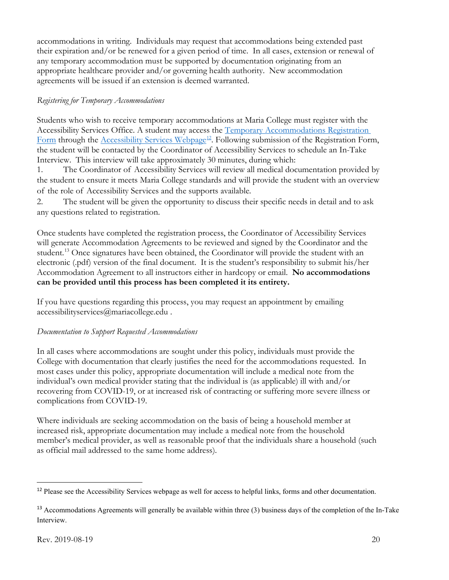accommodations in writing. Individuals may request that accommodations being extended past their expiration and/or be renewed for a given period of time. In all cases, extension or renewal of any temporary accommodation must be supported by documentation originating from an appropriate healthcare provider and/or governing health authority. New accommodation agreements will be issued if an extension is deemed warranted.

### *Registering for Temporary Accommodations*

Students who wish to receive temporary accommodations at Maria College must register with the Accessibility Services Office. A student may access the [Temporary Accommodations Registration](https://forms.office.com/Pages/ResponsePage.aspx?id=MSfbEl-hc0eDhKsJUUQF8L4RDgjOjtJMv_GGVjIMHxRUMURSTTNaTzI1UDg3NFRaUzIxMzdRSFBVSC4u)  [Form](https://forms.office.com/Pages/ResponsePage.aspx?id=MSfbEl-hc0eDhKsJUUQF8L4RDgjOjtJMv_GGVjIMHxRUMURSTTNaTzI1UDg3NFRaUzIxMzdRSFBVSC4u) through the [Accessibility Services Webpage](https://mariacollege.edu/student-support/academic-support/accessibility-services)<sup>[12](#page-19-0)</sup>. Following submission of the Registration Form, the student will be contacted by the Coordinator of Accessibility Services to schedule an In-Take Interview. This interview will take approximately 30 minutes, during which:

1. The Coordinator of Accessibility Services will review all medical documentation provided by the student to ensure it meets Maria College standards and will provide the student with an overview of the role of Accessibility Services and the supports available.

2. The student will be given the opportunity to discuss their specific needs in detail and to ask any questions related to registration.

Once students have completed the registration process, the Coordinator of Accessibility Services will generate Accommodation Agreements to be reviewed and signed by the Coordinator and the student.<sup>[13](#page-19-1)</sup> Once signatures have been obtained, the Coordinator will provide the student with an electronic (.pdf) version of the final document. It is the student's responsibility to submit his/her Accommodation Agreement to all instructors either in hardcopy or email. **No accommodations can be provided until this process has been completed it its entirety.**

If you have questions regarding this process, you may request an appointment by emailing accessibilityservices@mariacollege.edu .

#### *Documentation to Support Requested Accommodations*

In all cases where accommodations are sought under this policy, individuals must provide the College with documentation that clearly justifies the need for the accommodations requested. In most cases under this policy, appropriate documentation will include a medical note from the individual's own medical provider stating that the individual is (as applicable) ill with and/or recovering from COVID-19, or at increased risk of contracting or suffering more severe illness or complications from COVID-19.

Where individuals are seeking accommodation on the basis of being a household member at increased risk, appropriate documentation may include a medical note from the household member's medical provider, as well as reasonable proof that the individuals share a household (such as official mail addressed to the same home address).

<span id="page-19-0"></span><sup>&</sup>lt;sup>12</sup> Please see the Accessibility Services webpage as well for access to helpful links, forms and other documentation.

<span id="page-19-1"></span><sup>&</sup>lt;sup>13</sup> Accommodations Agreements will generally be available within three (3) business days of the completion of the In-Take Interview.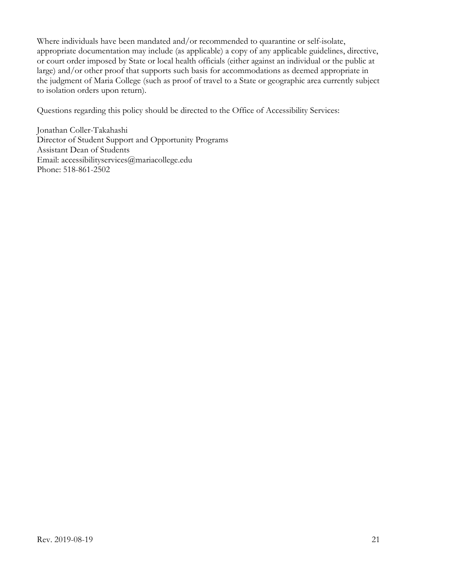Where individuals have been mandated and/or recommended to quarantine or self-isolate, appropriate documentation may include (as applicable) a copy of any applicable guidelines, directive, or court order imposed by State or local health officials (either against an individual or the public at large) and/or other proof that supports such basis for accommodations as deemed appropriate in the judgment of Maria College (such as proof of travel to a State or geographic area currently subject to isolation orders upon return).

Questions regarding this policy should be directed to the Office of Accessibility Services:

Jonathan Coller-Takahashi Director of Student Support and Opportunity Programs Assistant Dean of Students Email: accessibilityservices@mariacollege.edu Phone: 518-861-2502